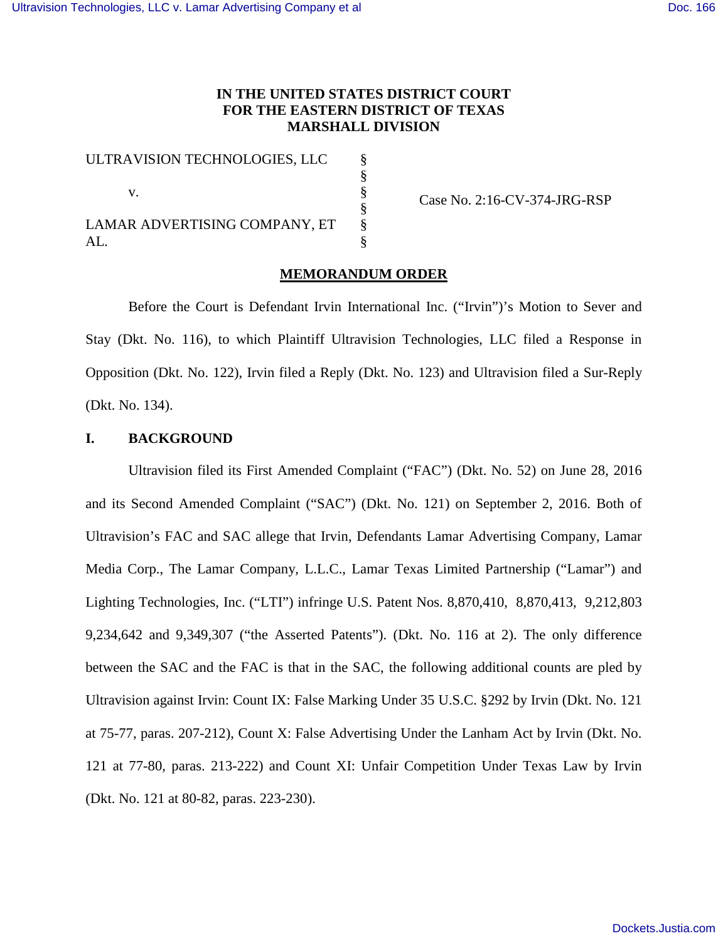# **IN THE UNITED STATES DISTRICT COURT FOR THE EASTERN DISTRICT OF TEXAS MARSHALL DIVISION**

| ULTRAVISION TECHNOLOGIES, LLC |  |
|-------------------------------|--|
|                               |  |
| V.                            |  |
|                               |  |
| LAMAR ADVERTISING COMPANY, ET |  |
| AL.                           |  |

Case No. 2:16-CV-374-JRG-RSP

# **MEMORANDUM ORDER**

Before the Court is Defendant Irvin International Inc. ("Irvin")'s Motion to Sever and Stay (Dkt. No. 116), to which Plaintiff Ultravision Technologies, LLC filed a Response in Opposition (Dkt. No. 122), Irvin filed a Reply (Dkt. No. 123) and Ultravision filed a Sur-Reply (Dkt. No. 134).

# **I. BACKGROUND**

Ultravision filed its First Amended Complaint ("FAC") (Dkt. No. 52) on June 28, 2016 and its Second Amended Complaint ("SAC") (Dkt. No. 121) on September 2, 2016. Both of Ultravision's FAC and SAC allege that Irvin, Defendants Lamar Advertising Company, Lamar Media Corp., The Lamar Company, L.L.C., Lamar Texas Limited Partnership ("Lamar") and Lighting Technologies, Inc. ("LTI") infringe U.S. Patent Nos. 8,870,410, 8,870,413, 9,212,803 9,234,642 and 9,349,307 ("the Asserted Patents"). (Dkt. No. 116 at 2). The only difference between the SAC and the FAC is that in the SAC, the following additional counts are pled by Ultravision against Irvin: Count IX: False Marking Under 35 U.S.C. §292 by Irvin (Dkt. No. 121 at 75-77, paras. 207-212), Count X: False Advertising Under the Lanham Act by Irvin (Dkt. No. 121 at 77-80, paras. 213-222) and Count XI: Unfair Competition Under Texas Law by Irvin (Dkt. No. 121 at 80-82, paras. 223-230).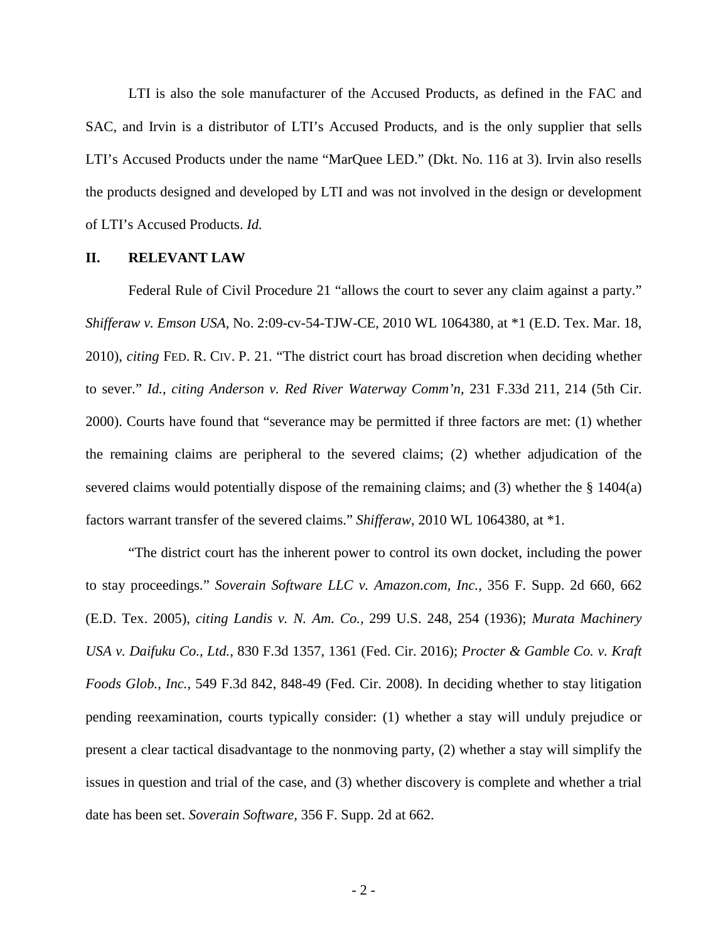LTI is also the sole manufacturer of the Accused Products, as defined in the FAC and SAC, and Irvin is a distributor of LTI's Accused Products, and is the only supplier that sells LTI's Accused Products under the name "MarQuee LED." (Dkt. No. 116 at 3). Irvin also resells the products designed and developed by LTI and was not involved in the design or development of LTI's Accused Products. *Id.* 

# **II. RELEVANT LAW**

Federal Rule of Civil Procedure 21 "allows the court to sever any claim against a party." *Shifferaw v. Emson USA,* No. 2:09-cv-54-TJW-CE, 2010 WL 1064380, at \*1 (E.D. Tex. Mar. 18, 2010), *citing* FED. R. CIV. P. 21. "The district court has broad discretion when deciding whether to sever." *Id., citing Anderson v. Red River Waterway Comm'n,* 231 F.33d 211, 214 (5th Cir. 2000). Courts have found that "severance may be permitted if three factors are met: (1) whether the remaining claims are peripheral to the severed claims; (2) whether adjudication of the severed claims would potentially dispose of the remaining claims; and (3) whether the § 1404(a) factors warrant transfer of the severed claims." *Shifferaw,* 2010 WL 1064380, at \*1.

"The district court has the inherent power to control its own docket, including the power to stay proceedings." *Soverain Software LLC v. Amazon.com, Inc.,* 356 F. Supp. 2d 660, 662 (E.D. Tex. 2005), *citing Landis v. N. Am. Co.,* 299 U.S. 248, 254 (1936); *Murata Machinery USA v. Daifuku Co., Ltd.,* 830 F.3d 1357, 1361 (Fed. Cir. 2016); *Procter & Gamble Co. v. Kraft Foods Glob., Inc.,* 549 F.3d 842, 848-49 (Fed. Cir. 2008). In deciding whether to stay litigation pending reexamination, courts typically consider: (1) whether a stay will unduly prejudice or present a clear tactical disadvantage to the nonmoving party, (2) whether a stay will simplify the issues in question and trial of the case, and (3) whether discovery is complete and whether a trial date has been set. *Soverain Software,* 356 F. Supp. 2d at 662.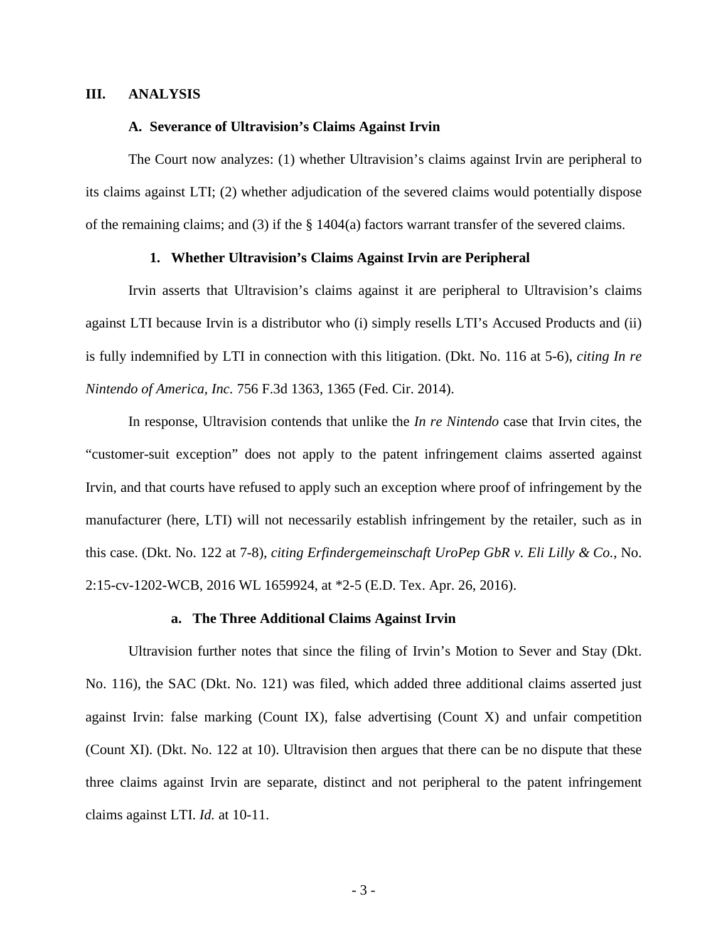# **III. ANALYSIS**

### **A. Severance of Ultravision's Claims Against Irvin**

The Court now analyzes: (1) whether Ultravision's claims against Irvin are peripheral to its claims against LTI; (2) whether adjudication of the severed claims would potentially dispose of the remaining claims; and (3) if the  $\S$  1404(a) factors warrant transfer of the severed claims.

# **1. Whether Ultravision's Claims Against Irvin are Peripheral**

Irvin asserts that Ultravision's claims against it are peripheral to Ultravision's claims against LTI because Irvin is a distributor who (i) simply resells LTI's Accused Products and (ii) is fully indemnified by LTI in connection with this litigation. (Dkt. No. 116 at 5-6), *citing In re Nintendo of America, Inc.* 756 F.3d 1363, 1365 (Fed. Cir. 2014).

In response, Ultravision contends that unlike the *In re Nintendo* case that Irvin cites, the "customer-suit exception" does not apply to the patent infringement claims asserted against Irvin, and that courts have refused to apply such an exception where proof of infringement by the manufacturer (here, LTI) will not necessarily establish infringement by the retailer, such as in this case. (Dkt. No. 122 at 7-8), *citing Erfindergemeinschaft UroPep GbR v. Eli Lilly & Co.,* No. 2:15-cv-1202-WCB, 2016 WL 1659924, at \*2-5 (E.D. Tex. Apr. 26, 2016).

### **a. The Three Additional Claims Against Irvin**

Ultravision further notes that since the filing of Irvin's Motion to Sever and Stay (Dkt. No. 116), the SAC (Dkt. No. 121) was filed, which added three additional claims asserted just against Irvin: false marking (Count IX), false advertising (Count X) and unfair competition (Count XI). (Dkt. No. 122 at 10). Ultravision then argues that there can be no dispute that these three claims against Irvin are separate, distinct and not peripheral to the patent infringement claims against LTI. *Id.* at 10-11.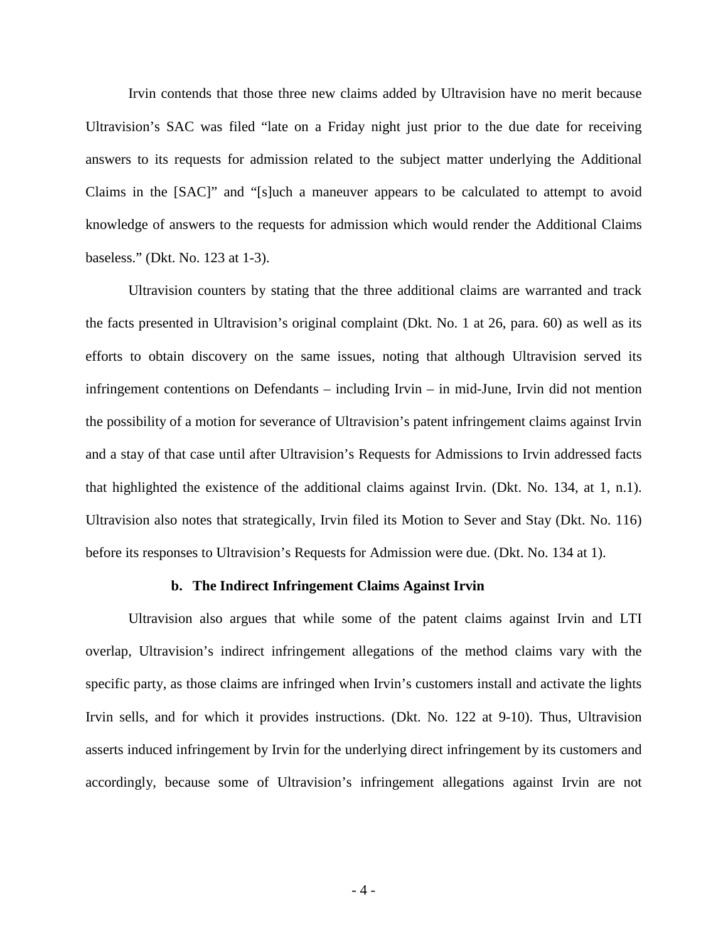Irvin contends that those three new claims added by Ultravision have no merit because Ultravision's SAC was filed "late on a Friday night just prior to the due date for receiving answers to its requests for admission related to the subject matter underlying the Additional Claims in the [SAC]" and "[s]uch a maneuver appears to be calculated to attempt to avoid knowledge of answers to the requests for admission which would render the Additional Claims baseless." (Dkt. No. 123 at 1-3).

Ultravision counters by stating that the three additional claims are warranted and track the facts presented in Ultravision's original complaint (Dkt. No. 1 at 26, para. 60) as well as its efforts to obtain discovery on the same issues, noting that although Ultravision served its infringement contentions on Defendants – including Irvin – in mid-June, Irvin did not mention the possibility of a motion for severance of Ultravision's patent infringement claims against Irvin and a stay of that case until after Ultravision's Requests for Admissions to Irvin addressed facts that highlighted the existence of the additional claims against Irvin. (Dkt. No. 134, at 1, n.1). Ultravision also notes that strategically, Irvin filed its Motion to Sever and Stay (Dkt. No. 116) before its responses to Ultravision's Requests for Admission were due. (Dkt. No. 134 at 1).

# **b. The Indirect Infringement Claims Against Irvin**

Ultravision also argues that while some of the patent claims against Irvin and LTI overlap, Ultravision's indirect infringement allegations of the method claims vary with the specific party, as those claims are infringed when Irvin's customers install and activate the lights Irvin sells, and for which it provides instructions. (Dkt. No. 122 at 9-10). Thus, Ultravision asserts induced infringement by Irvin for the underlying direct infringement by its customers and accordingly, because some of Ultravision's infringement allegations against Irvin are not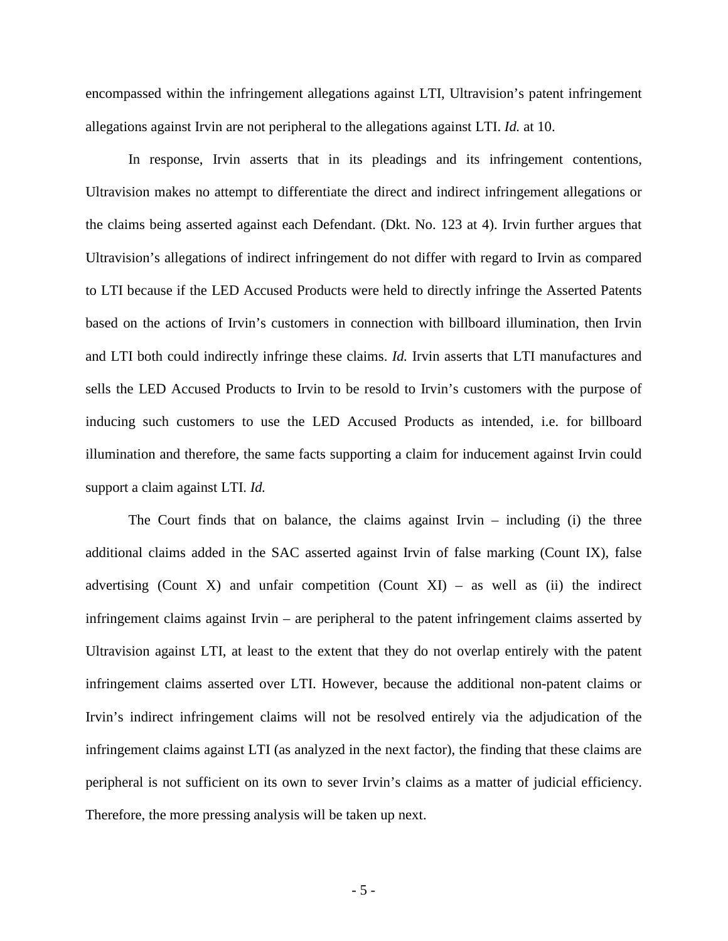encompassed within the infringement allegations against LTI, Ultravision's patent infringement allegations against Irvin are not peripheral to the allegations against LTI. *Id.* at 10.

In response, Irvin asserts that in its pleadings and its infringement contentions, Ultravision makes no attempt to differentiate the direct and indirect infringement allegations or the claims being asserted against each Defendant. (Dkt. No. 123 at 4). Irvin further argues that Ultravision's allegations of indirect infringement do not differ with regard to Irvin as compared to LTI because if the LED Accused Products were held to directly infringe the Asserted Patents based on the actions of Irvin's customers in connection with billboard illumination, then Irvin and LTI both could indirectly infringe these claims. *Id.* Irvin asserts that LTI manufactures and sells the LED Accused Products to Irvin to be resold to Irvin's customers with the purpose of inducing such customers to use the LED Accused Products as intended, i.e. for billboard illumination and therefore, the same facts supporting a claim for inducement against Irvin could support a claim against LTI. *Id.* 

The Court finds that on balance, the claims against Irvin – including (i) the three additional claims added in the SAC asserted against Irvin of false marking (Count IX), false advertising (Count X) and unfair competition (Count XI) – as well as (ii) the indirect infringement claims against Irvin – are peripheral to the patent infringement claims asserted by Ultravision against LTI, at least to the extent that they do not overlap entirely with the patent infringement claims asserted over LTI. However, because the additional non-patent claims or Irvin's indirect infringement claims will not be resolved entirely via the adjudication of the infringement claims against LTI (as analyzed in the next factor), the finding that these claims are peripheral is not sufficient on its own to sever Irvin's claims as a matter of judicial efficiency. Therefore, the more pressing analysis will be taken up next.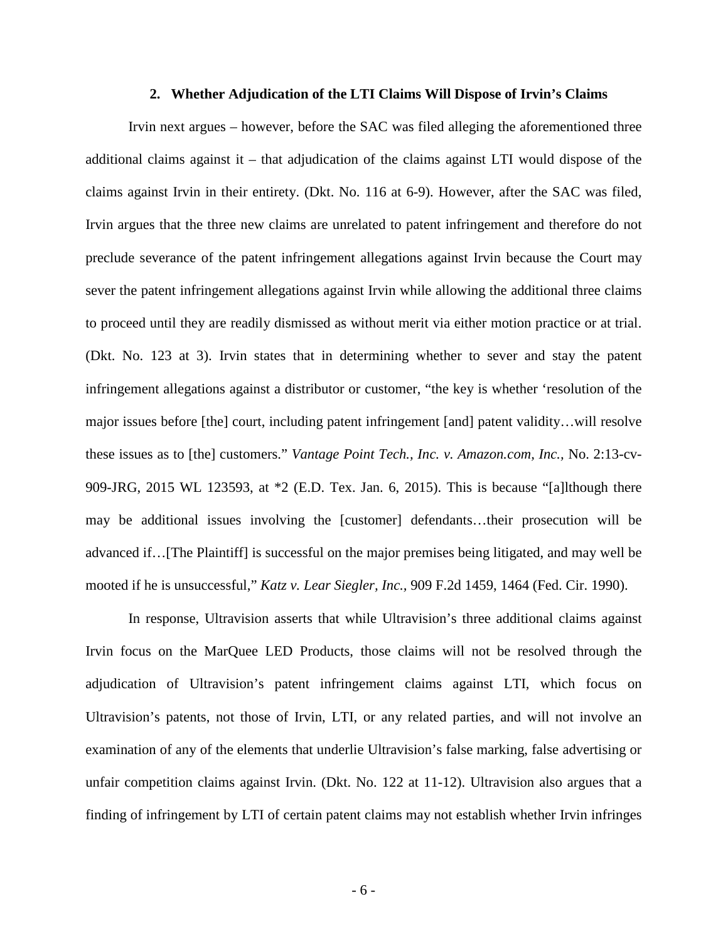#### **2. Whether Adjudication of the LTI Claims Will Dispose of Irvin's Claims**

Irvin next argues – however, before the SAC was filed alleging the aforementioned three additional claims against it – that adjudication of the claims against LTI would dispose of the claims against Irvin in their entirety. (Dkt. No. 116 at 6-9). However, after the SAC was filed, Irvin argues that the three new claims are unrelated to patent infringement and therefore do not preclude severance of the patent infringement allegations against Irvin because the Court may sever the patent infringement allegations against Irvin while allowing the additional three claims to proceed until they are readily dismissed as without merit via either motion practice or at trial. (Dkt. No. 123 at 3). Irvin states that in determining whether to sever and stay the patent infringement allegations against a distributor or customer, "the key is whether 'resolution of the major issues before [the] court, including patent infringement [and] patent validity…will resolve these issues as to [the] customers." *Vantage Point Tech., Inc. v. Amazon.com, Inc.,* No. 2:13-cv-909-JRG, 2015 WL 123593, at \*2 (E.D. Tex. Jan. 6, 2015). This is because "[a]lthough there may be additional issues involving the [customer] defendants…their prosecution will be advanced if…[The Plaintiff] is successful on the major premises being litigated, and may well be mooted if he is unsuccessful," *Katz v. Lear Siegler, Inc.,* 909 F.2d 1459, 1464 (Fed. Cir. 1990).

In response, Ultravision asserts that while Ultravision's three additional claims against Irvin focus on the MarQuee LED Products, those claims will not be resolved through the adjudication of Ultravision's patent infringement claims against LTI, which focus on Ultravision's patents, not those of Irvin, LTI, or any related parties, and will not involve an examination of any of the elements that underlie Ultravision's false marking, false advertising or unfair competition claims against Irvin. (Dkt. No. 122 at 11-12). Ultravision also argues that a finding of infringement by LTI of certain patent claims may not establish whether Irvin infringes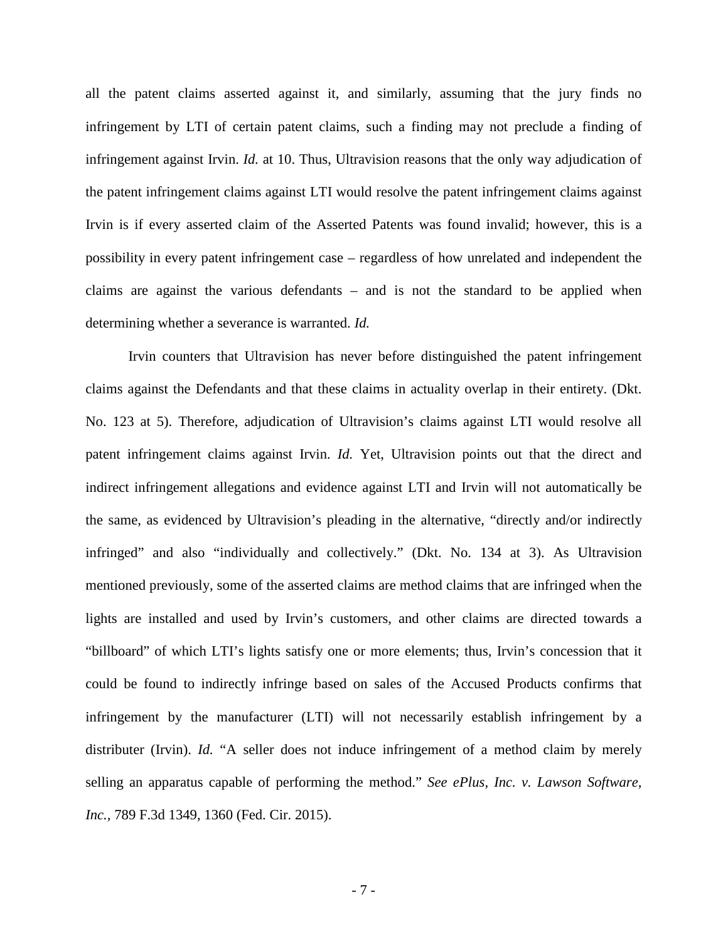all the patent claims asserted against it, and similarly, assuming that the jury finds no infringement by LTI of certain patent claims, such a finding may not preclude a finding of infringement against Irvin. *Id.* at 10. Thus, Ultravision reasons that the only way adjudication of the patent infringement claims against LTI would resolve the patent infringement claims against Irvin is if every asserted claim of the Asserted Patents was found invalid; however, this is a possibility in every patent infringement case – regardless of how unrelated and independent the claims are against the various defendants – and is not the standard to be applied when determining whether a severance is warranted. *Id.*

Irvin counters that Ultravision has never before distinguished the patent infringement claims against the Defendants and that these claims in actuality overlap in their entirety. (Dkt. No. 123 at 5). Therefore, adjudication of Ultravision's claims against LTI would resolve all patent infringement claims against Irvin. *Id.* Yet, Ultravision points out that the direct and indirect infringement allegations and evidence against LTI and Irvin will not automatically be the same, as evidenced by Ultravision's pleading in the alternative, "directly and/or indirectly infringed" and also "individually and collectively." (Dkt. No. 134 at 3). As Ultravision mentioned previously, some of the asserted claims are method claims that are infringed when the lights are installed and used by Irvin's customers, and other claims are directed towards a "billboard" of which LTI's lights satisfy one or more elements; thus, Irvin's concession that it could be found to indirectly infringe based on sales of the Accused Products confirms that infringement by the manufacturer (LTI) will not necessarily establish infringement by a distributer (Irvin). *Id.* "A seller does not induce infringement of a method claim by merely selling an apparatus capable of performing the method." *See ePlus, Inc. v. Lawson Software, Inc.,* 789 F.3d 1349, 1360 (Fed. Cir. 2015).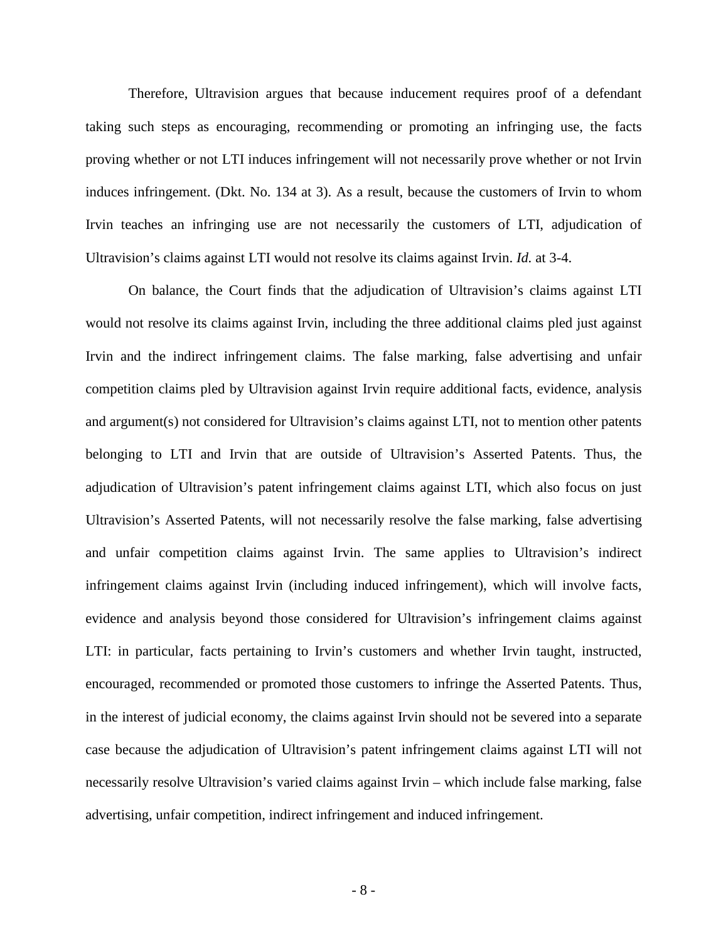Therefore, Ultravision argues that because inducement requires proof of a defendant taking such steps as encouraging, recommending or promoting an infringing use, the facts proving whether or not LTI induces infringement will not necessarily prove whether or not Irvin induces infringement. (Dkt. No. 134 at 3). As a result, because the customers of Irvin to whom Irvin teaches an infringing use are not necessarily the customers of LTI, adjudication of Ultravision's claims against LTI would not resolve its claims against Irvin. *Id.* at 3-4.

On balance, the Court finds that the adjudication of Ultravision's claims against LTI would not resolve its claims against Irvin, including the three additional claims pled just against Irvin and the indirect infringement claims. The false marking, false advertising and unfair competition claims pled by Ultravision against Irvin require additional facts, evidence, analysis and argument(s) not considered for Ultravision's claims against LTI, not to mention other patents belonging to LTI and Irvin that are outside of Ultravision's Asserted Patents. Thus, the adjudication of Ultravision's patent infringement claims against LTI, which also focus on just Ultravision's Asserted Patents, will not necessarily resolve the false marking, false advertising and unfair competition claims against Irvin. The same applies to Ultravision's indirect infringement claims against Irvin (including induced infringement), which will involve facts, evidence and analysis beyond those considered for Ultravision's infringement claims against LTI: in particular, facts pertaining to Irvin's customers and whether Irvin taught, instructed, encouraged, recommended or promoted those customers to infringe the Asserted Patents. Thus, in the interest of judicial economy, the claims against Irvin should not be severed into a separate case because the adjudication of Ultravision's patent infringement claims against LTI will not necessarily resolve Ultravision's varied claims against Irvin – which include false marking, false advertising, unfair competition, indirect infringement and induced infringement.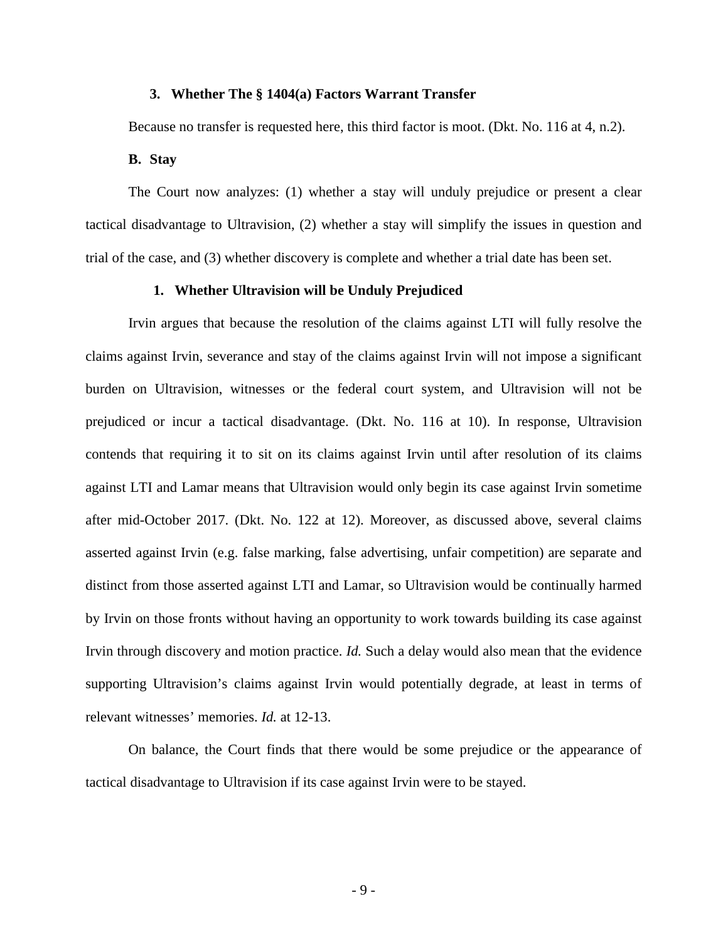## **3. Whether The § 1404(a) Factors Warrant Transfer**

Because no transfer is requested here, this third factor is moot. (Dkt. No. 116 at 4, n.2).

## **B. Stay**

The Court now analyzes: (1) whether a stay will unduly prejudice or present a clear tactical disadvantage to Ultravision, (2) whether a stay will simplify the issues in question and trial of the case, and (3) whether discovery is complete and whether a trial date has been set.

#### **1. Whether Ultravision will be Unduly Prejudiced**

Irvin argues that because the resolution of the claims against LTI will fully resolve the claims against Irvin, severance and stay of the claims against Irvin will not impose a significant burden on Ultravision, witnesses or the federal court system, and Ultravision will not be prejudiced or incur a tactical disadvantage. (Dkt. No. 116 at 10). In response, Ultravision contends that requiring it to sit on its claims against Irvin until after resolution of its claims against LTI and Lamar means that Ultravision would only begin its case against Irvin sometime after mid-October 2017. (Dkt. No. 122 at 12). Moreover, as discussed above, several claims asserted against Irvin (e.g. false marking, false advertising, unfair competition) are separate and distinct from those asserted against LTI and Lamar, so Ultravision would be continually harmed by Irvin on those fronts without having an opportunity to work towards building its case against Irvin through discovery and motion practice. *Id.* Such a delay would also mean that the evidence supporting Ultravision's claims against Irvin would potentially degrade, at least in terms of relevant witnesses' memories. *Id.* at 12-13.

On balance, the Court finds that there would be some prejudice or the appearance of tactical disadvantage to Ultravision if its case against Irvin were to be stayed.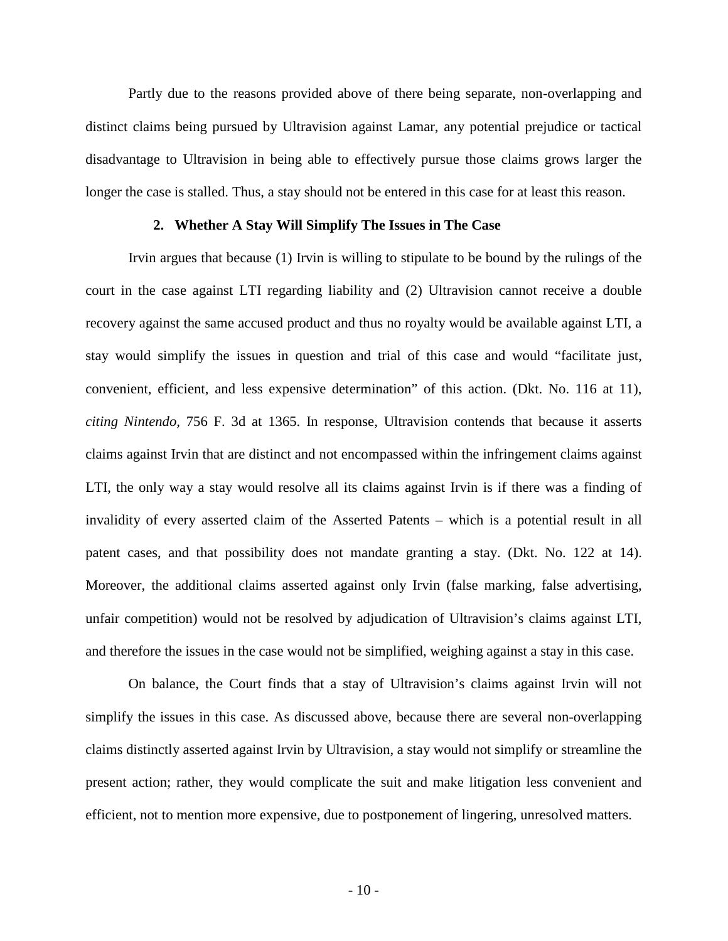Partly due to the reasons provided above of there being separate, non-overlapping and distinct claims being pursued by Ultravision against Lamar, any potential prejudice or tactical disadvantage to Ultravision in being able to effectively pursue those claims grows larger the longer the case is stalled. Thus, a stay should not be entered in this case for at least this reason.

# **2. Whether A Stay Will Simplify The Issues in The Case**

Irvin argues that because (1) Irvin is willing to stipulate to be bound by the rulings of the court in the case against LTI regarding liability and (2) Ultravision cannot receive a double recovery against the same accused product and thus no royalty would be available against LTI, a stay would simplify the issues in question and trial of this case and would "facilitate just, convenient, efficient, and less expensive determination" of this action. (Dkt. No. 116 at 11), *citing Nintendo,* 756 F. 3d at 1365. In response, Ultravision contends that because it asserts claims against Irvin that are distinct and not encompassed within the infringement claims against LTI, the only way a stay would resolve all its claims against Irvin is if there was a finding of invalidity of every asserted claim of the Asserted Patents – which is a potential result in all patent cases, and that possibility does not mandate granting a stay. (Dkt. No. 122 at 14). Moreover, the additional claims asserted against only Irvin (false marking, false advertising, unfair competition) would not be resolved by adjudication of Ultravision's claims against LTI, and therefore the issues in the case would not be simplified, weighing against a stay in this case.

On balance, the Court finds that a stay of Ultravision's claims against Irvin will not simplify the issues in this case. As discussed above, because there are several non-overlapping claims distinctly asserted against Irvin by Ultravision, a stay would not simplify or streamline the present action; rather, they would complicate the suit and make litigation less convenient and efficient, not to mention more expensive, due to postponement of lingering, unresolved matters.